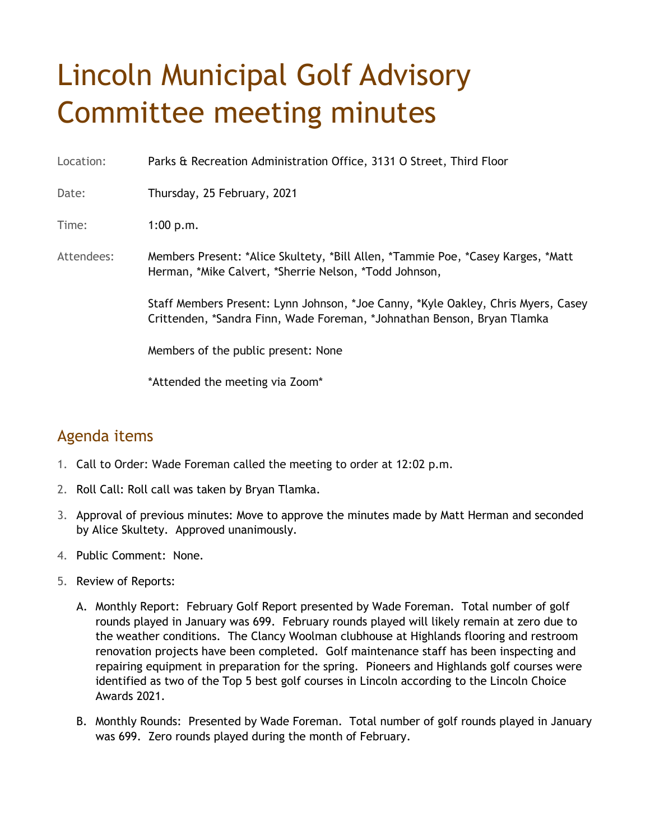## Lincoln Municipal Golf Advisory Committee meeting minutes

Location: Parks & Recreation Administration Office, 3131 O Street, Third Floor

Date: Thursday, 25 February, 2021

Time: 1:00 p.m.

Attendees: Members Present: \*Alice Skultety, \*Bill Allen, \*Tammie Poe, \*Casey Karges, \*Matt Herman, \*Mike Calvert, \*Sherrie Nelson, \*Todd Johnson,

> Staff Members Present: Lynn Johnson, \*Joe Canny, \*Kyle Oakley, Chris Myers, Casey Crittenden, \*Sandra Finn, Wade Foreman, \*Johnathan Benson, Bryan Tlamka

Members of the public present: None

\*Attended the meeting via Zoom\*

## Agenda items

- 1. Call to Order: Wade Foreman called the meeting to order at 12:02 p.m.
- 2. Roll Call: Roll call was taken by Bryan Tlamka.
- 3. Approval of previous minutes: Move to approve the minutes made by Matt Herman and seconded by Alice Skultety. Approved unanimously.
- 4. Public Comment: None.
- 5. Review of Reports:
	- A. Monthly Report: February Golf Report presented by Wade Foreman. Total number of golf rounds played in January was 699. February rounds played will likely remain at zero due to the weather conditions. The Clancy Woolman clubhouse at Highlands flooring and restroom renovation projects have been completed. Golf maintenance staff has been inspecting and repairing equipment in preparation for the spring. Pioneers and Highlands golf courses were identified as two of the Top 5 best golf courses in Lincoln according to the Lincoln Choice Awards 2021.
	- B. Monthly Rounds: Presented by Wade Foreman. Total number of golf rounds played in January was 699. Zero rounds played during the month of February.